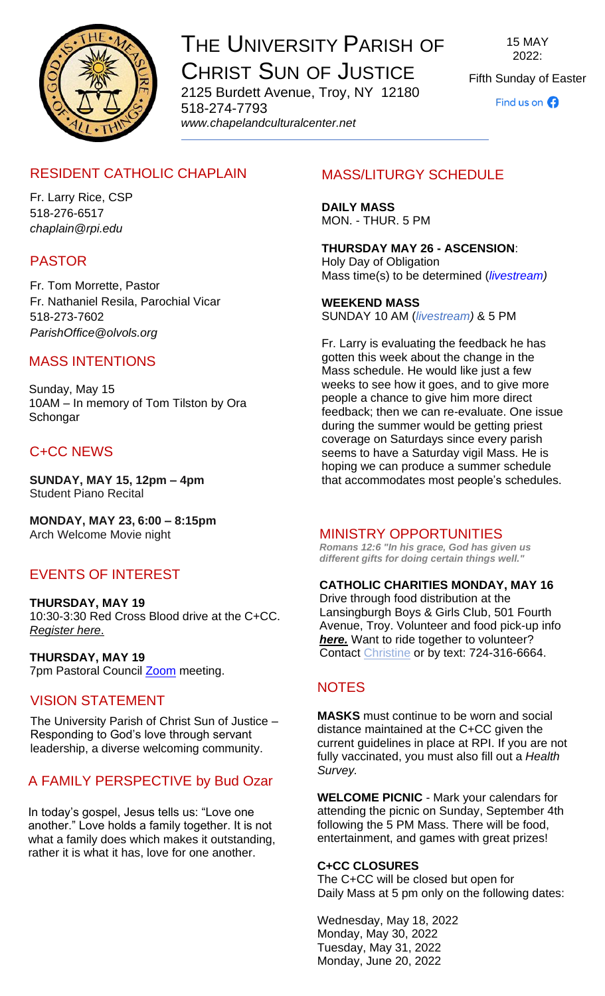

# THE UNIVERSITY PARISH OF CHRIST SUN OF JUSTICE 2125 Burdett Avenue, Troy, NY 12180

518-274-7793 *www[.chapelandculturalcenter.net](https://chapelandculturalcenter.net/)* 15 MAY 2022:

Fifth Sunday of Easter

Find us on  $\bigodot$ 

# RESIDENT CATHOLIC CHAPLAIN

Fr. Larry Rice, CSP 518-276-6517 *[chaplain@rpi.edu](mailto:chaplain@rpi.edu)*

# PASTOR

Fr. Tom Morrette, Pastor Fr. Nathaniel Resila, Parochial Vicar 518-273-7602 *[ParishOffice@olvols.org](mailto:ParishOffice@olvols.org)*

# MASS INTENTIONS

Sunday, May 15 10AM – In memory of Tom Tilston by Ora **Schongar** 

# C+CC NEWS

**SUNDAY, MAY 15, 12pm – 4pm** Student Piano Recital

**MONDAY, MAY 23, 6:00 – 8:15pm** Arch Welcome Movie night

# EVENTS OF INTEREST

**THURSDAY, MAY 19** 10:30-3:30 Red Cross Blood drive at the C+CC. *[Register here](https://www.redcrossblood.org/give.html/donation-time)*.

**THURSDAY, MAY 19** 7pm Pastoral Council [Zoom](https://us06web.zoom.us/j/81785902408?pwd=bDR1QWVSRTNzd0h5dUhwcFIxWEdZdz09) meeting.

# VISION STATEMENT

The University Parish of Christ Sun of Justice – Responding to God's love through servant leadership, a diverse welcoming community.

# A FAMILY PERSPECTIVE by Bud Ozar

In today's gospel, Jesus tells us: "Love one another." Love holds a family together. It is not what a family does which makes it outstanding, rather it is what it has, love for one another.

# MASS/LITURGY SCHEDULE

**DAILY MASS** MON. - THUR. 5 PM

**THURSDAY MAY 26 - ASCENSION**: Holy Day of Obligation Mass time(s) to be determined (*[livestream\)](https://www.facebook.com/ChristSunofJustice/live/)*

**WEEKEND MASS** SUNDAY 10 AM (*[livestream\)](https://www.facebook.com/ChristSunofJustice/live/)* & 5 PM

Fr. Larry is evaluating the feedback he has gotten this week about the change in the Mass schedule. He would like just a few weeks to see how it goes, and to give more people a chance to give him more direct feedback; then we can re-evaluate. One issue during the summer would be getting priest coverage on Saturdays since every parish seems to have a Saturday vigil Mass. He is hoping we can produce a summer schedule that accommodates most people's schedules.

#### MINISTRY OPPORTUNITIES

**Romans 12:6 "In his grace, God has given us** *different gifts for doing certain things well."*

#### **CATHOLIC CHARITIES MONDAY, MAY 16**

Drive through food distribution at the Lansingburgh Boys & Girls Club, 501 Fourth Avenue, Troy. Volunteer and food pick-up info *[here.](https://www.facebook.com/events/1162707397824580)* Want to ride together to volunteer? Contact [Christine](mailto:crelyea28@gmail.com?subject=April%2022%20Drive%20Thru%20Grafton) or by text: 724-316-6664.

# **NOTES**

**MASKS** must continue to be worn and social distance maintained at the C+CC given the current guidelines in place at RPI. If you are not fully vaccinated, you must also fill out a *[Health](https://www.chapelandculturalcenter.net/health-survey/)  [Survey.](https://www.chapelandculturalcenter.net/health-survey/)*

**WELCOME PICNIC** - Mark your calendars for attending the picnic on Sunday, September 4th following the 5 PM Mass. There will be food, entertainment, and games with great prizes!

#### **C+CC CLOSURES**

The C+CC will be closed but open for Daily Mass at 5 pm only on the following dates:

Wednesday, May 18, 2022 Monday, May 30, 2022 Tuesday, May 31, 2022 Monday, June 20, 2022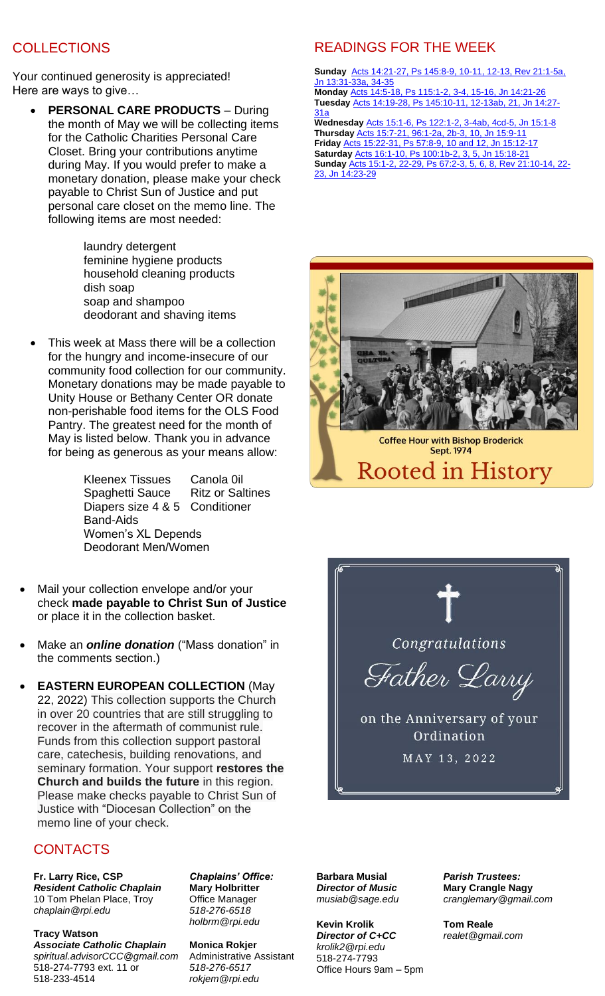# **COLLECTIONS**

Your continued generosity is appreciated! Here are ways to give…

• **PERSONAL CARE PRODUCTS** – During the month of May we will be collecting items for the Catholic Charities Personal Care Closet. Bring your contributions anytime during May. If you would prefer to make a monetary donation, please make your check payable to Christ Sun of Justice and put personal care closet on the memo line. The following items are most needed:

> laundry detergent feminine hygiene products household cleaning products dish soap soap and shampoo deodorant and shaving items

This week at Mass there will be a collection for the hungry and income-insecure of our community food collection for our community. Monetary donations may be made payable to Unity House or Bethany Center OR donate non-perishable food items for the OLS Food Pantry. The greatest need for the month of May is listed below. Thank you in advance for being as generous as your means allow:

> Kleenex Tissues Canola 0il Spaghetti Sauce Ritz or Saltines Diapers size 4 & 5 Conditioner Band-Aids Women's XL Depends Deodorant Men/Women

- Mail your collection envelope and/or your check **made payable to Christ Sun of Justice** or place it in the collection basket.
- Make an *[online donation](http://chapelandculturalcenter.net/give-back/)* ("Mass donation" in the comments section.)
- **EASTERN EUROPEAN COLLECTION** (May 22, 2022) This collection supports the Church in over 20 countries that are still struggling to recover in the aftermath of communist rule. Funds from this collection support pastoral care, catechesis, building renovations, and seminary formation. Your support **restores the Church and builds the future** in this region. Please make checks payable to Christ Sun of Justice with "Diocesan Collection" on the memo line of your check.

#### CONTACTS

**Fr. Larry Rice, CSP** *Resident Catholic Chaplain* 10 Tom Phelan Place, Troy *[chaplain@rpi.edu](mailto:chaplain@rpi.edu)*

**Tracy Watson**  *Associate Catholic Chaplain [spiritual.advisorCCC@gmail.com](mailto:spiritual.advisorCCC@gmail.com)* 518-274-7793 ext. 11 or 518-233-4514

*Chaplains' Office:*  **Mary Holbritter** Office Manager *518-276-6518 [holbrm@rpi.edu](mailto:holbrm@rpi.edu)*

**Monica Rokjer** Administrative Assistant *518-276-6517 [rokjem@rpi.edu](mailto:rokjem@rpi.edu)*

# READINGS FOR THE WEEK

**Sunday** [Acts 14:21-27, Ps 145:8-9, 10-11, 12-13, Rev 21:1-5a,](https://bible.usccb.org/bible/readings/051522.cfm)  [Jn 13:31-33a, 34-35](https://bible.usccb.org/bible/readings/051522.cfm)

**Monday** [Acts 14:5-18, Ps 115:1-2, 3-4, 15-16, Jn 14:21-26](https://bible.usccb.org/bible/readings/051622.cfm) **Tuesday** [Acts 14:19-28, Ps 145:10-11, 12-13ab, 21, Jn 14:27-](https://bible.usccb.org/bible/readings/051722.cfm) [31a](https://bible.usccb.org/bible/readings/051722.cfm)

**Wednesday** [Acts 15:1-6, Ps 122:1-2, 3-4ab, 4cd-5, Jn 15:1-8](https://bible.usccb.org/bible/readings/051822.cfm) **Thursday** [Acts 15:7-21, 96:1-2a, 2b-3, 10, Jn 15:9-11](https://bible.usccb.org/bible/readings/051922.cfm) **Friday** [Acts 15:22-31, Ps 57:8-9, 10 and 12, Jn 15:12-17](https://bible.usccb.org/bible/readings/052022.cfm) **Saturday** [Acts 16:1-10, Ps 100:1b-2, 3, 5, Jn 15:18-21](https://bible.usccb.org/bible/readings/052122.cfm) **Sunday** [Acts 15:1-2, 22-29, Ps 67:2-3, 5, 6, 8, Rev 21:10-14, 22-](https://bible.usccb.org/bible/readings/052222.cfm) [23, Jn 14:23-29](https://bible.usccb.org/bible/readings/052222.cfm)





**Barbara Musial** *Director of Music [musiab@sage.edu](mailto:musiab@sage.edu)*

**Kevin Krolik** *Director of [C+CC](http://www.chapelandculturalcenter.net/) [krolik2@rpi.edu](mailto:krolik2@rpi.edu)*  518-274-7793 Office Hours 9am – 5pm *Parish Trustees:* **Mary Crangle Nagy** *[cranglemary@gmail.com](mailto:cranglemary@gmail.com)*

**Tom Reale** *[realet@gmail.com](mailto:realet@gmail.com)*